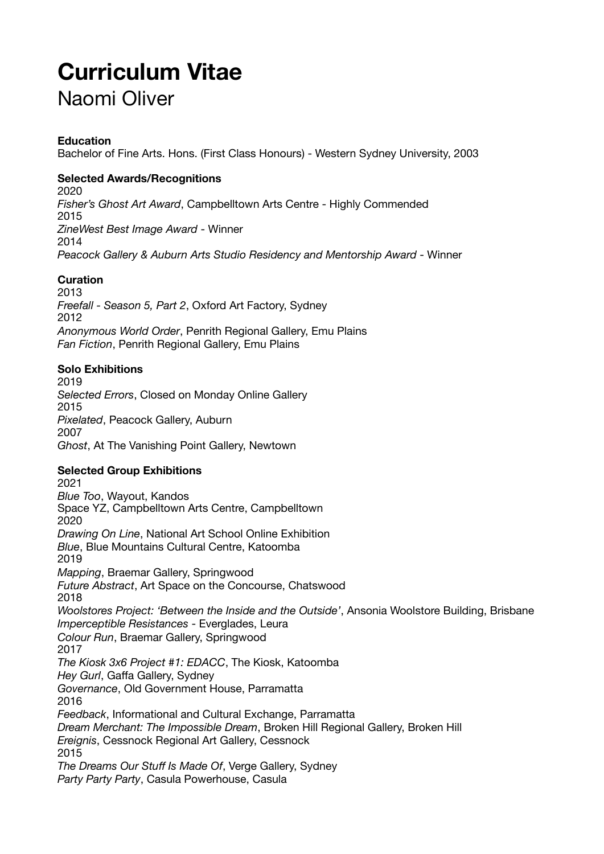# **Curriculum Vitae**

# Naomi Oliver

### **Education**

Bachelor of Fine Arts. Hons. (First Class Honours) - Western Sydney University, 2003

### **Selected Awards/Recognitions**

2020 *Fisher's Ghost Art Award*, Campbelltown Arts Centre - Highly Commended 2015 *ZineWest Best Image Award* - Winner 2014 *Peacock Gallery & Auburn Arts Studio Residency and Mentorship Award* - Winner

### **Curation**

2013 *Freefall - Season 5, Part 2*, Oxford Art Factory, Sydney 2012 *Anonymous World Order*, Penrith Regional Gallery, Emu Plains *Fan Fiction*, Penrith Regional Gallery, Emu Plains

#### **Solo Exhibitions**

2019 *Selected Errors*, Closed on Monday Online Gallery 2015 *Pixelated*, Peacock Gallery, Auburn 2007 *Ghost*, At The Vanishing Point Gallery, Newtown

## **Selected Group Exhibitions**

2021 *Blue Too*, Wayout, Kandos Space YZ, Campbelltown Arts Centre, Campbelltown 2020 *Drawing On Line*, National Art School Online Exhibition *Blue*, Blue Mountains Cultural Centre, Katoomba 2019 *Mapping*, Braemar Gallery, Springwood *Future Abstract*, Art Space on the Concourse, Chatswood 2018 *Woolstores Project: 'Between the Inside and the Outside'*, Ansonia Woolstore Building, Brisbane *Imperceptible Resistances* - Everglades, Leura *Colour Run*, Braemar Gallery, Springwood 2017 *The Kiosk 3x6 Project #1: EDACC*, The Kiosk, Katoomba *Hey Gurl*, Gaffa Gallery, Sydney *Governance*, Old Government House, Parramatta 2016 *Feedback*, Informational and Cultural Exchange, Parramatta *Dream Merchant: The Impossible Dream*, Broken Hill Regional Gallery, Broken Hill *Ereignis*, Cessnock Regional Art Gallery, Cessnock 2015 *The Dreams Our Stuff Is Made Of*, Verge Gallery, Sydney

*Party Party Party*, Casula Powerhouse, Casula